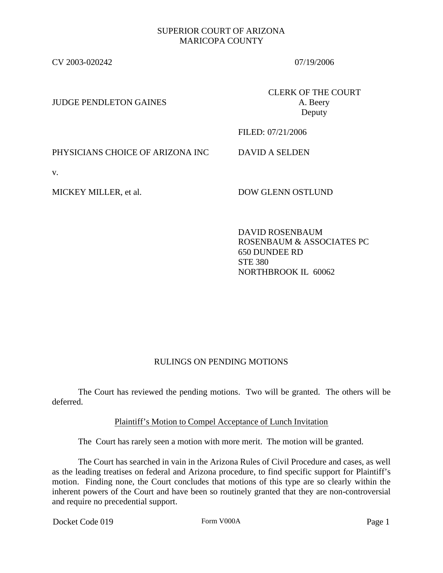CV 2003-020242 07/19/2006

JUDGE PENDLETON GAINES A. Beery

CLERK OF THE COURT Deputy

FILED: 07/21/2006

## PHYSICIANS CHOICE OF ARIZONA INC DAVID A SELDEN

v.

### MICKEY MILLER, et al. DOW GLENN OSTLUND

DAVID ROSENBAUM ROSENBAUM & ASSOCIATES PC 650 DUNDEE RD STE 380 NORTHBROOK IL 60062

# RULINGS ON PENDING MOTIONS

The Court has reviewed the pending motions. Two will be granted. The others will be deferred.

#### Plaintiff's Motion to Compel Acceptance of Lunch Invitation

The Court has rarely seen a motion with more merit. The motion will be granted.

The Court has searched in vain in the Arizona Rules of Civil Procedure and cases, as well as the leading treatises on federal and Arizona procedure, to find specific support for Plaintiff's motion. Finding none, the Court concludes that motions of this type are so clearly within the inherent powers of the Court and have been so routinely granted that they are non-controversial and require no precedential support.

Docket Code 019 Form V000A Form V000A Page 1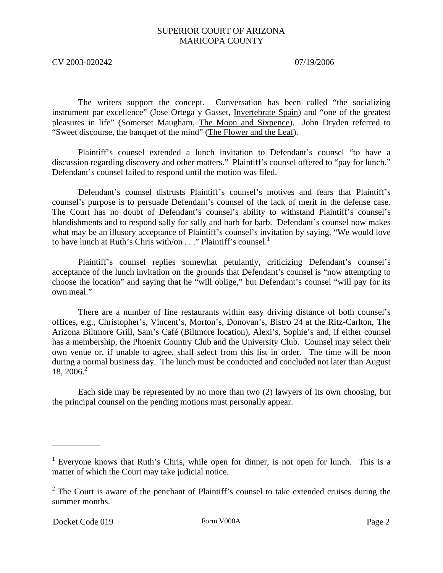CV 2003-020242 07/19/2006

The writers support the concept. Conversation has been called "the socializing instrument par excellence" (Jose Ortega y Gasset, Invertebrate Spain) and "one of the greatest pleasures in life" (Somerset Maugham, The Moon and Sixpence). John Dryden referred to "Sweet discourse, the banquet of the mind" (The Flower and the Leaf).

Plaintiff's counsel extended a lunch invitation to Defendant's counsel "to have a discussion regarding discovery and other matters." Plaintiff's counsel offered to "pay for lunch." Defendant's counsel failed to respond until the motion was filed.

Defendant's counsel distrusts Plaintiff's counsel's motives and fears that Plaintiff's counsel's purpose is to persuade Defendant's counsel of the lack of merit in the defense case. The Court has no doubt of Defendant's counsel's ability to withstand Plaintiff's counsel's blandishments and to respond sally for sally and barb for barb. Defendant's counsel now makes what may be an illusory acceptance of Plaintiff's counsel's invitation by saying, "We would love to have lunch at Ruth's Chris with/on  $\ldots$ " Plaintiff's counsel.<sup>1</sup>

Plaintiff's counsel replies somewhat petulantly, criticizing Defendant's counsel's acceptance of the lunch invitation on the grounds that Defendant's counsel is "now attempting to choose the location" and saying that he "will oblige," but Defendant's counsel "will pay for its own meal."

There are a number of fine restaurants within easy driving distance of both counsel's offices, e.g., Christopher's, Vincent's, Morton's, Donovan's, Bistro 24 at the Ritz-Carlton, The Arizona Biltmore Grill, Sam's Café (Biltmore location), Alexi's, Sophie's and, if either counsel has a membership, the Phoenix Country Club and the University Club. Counsel may select their own venue or, if unable to agree, shall select from this list in order. The time will be noon during a normal business day. The lunch must be conducted and concluded not later than August 18, 2006.<sup>2</sup>

Each side may be represented by no more than two (2) lawyers of its own choosing, but the principal counsel on the pending motions must personally appear.

\_\_\_\_\_\_\_\_\_\_\_

<sup>&</sup>lt;sup>1</sup> Everyone knows that Ruth's Chris, while open for dinner, is not open for lunch. This is a matter of which the Court may take judicial notice.

 $2^2$  The Court is aware of the penchant of Plaintiff's counsel to take extended cruises during the summer months.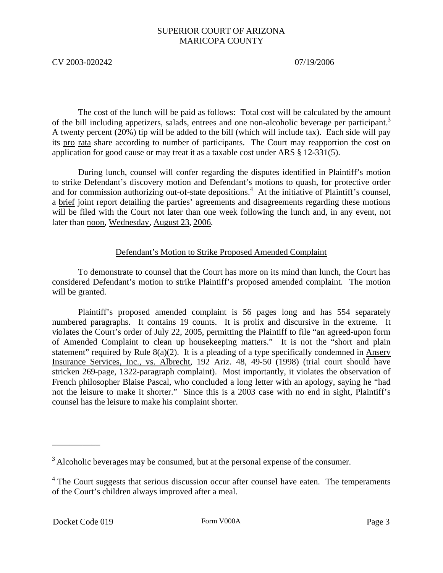CV 2003-020242 07/19/2006

The cost of the lunch will be paid as follows: Total cost will be calculated by the amount of the bill including appetizers, salads, entrees and one non-alcoholic beverage per participant.<sup>3</sup> A twenty percent (20%) tip will be added to the bill (which will include tax). Each side will pay its pro rata share according to number of participants. The Court may reapportion the cost on application for good cause or may treat it as a taxable cost under ARS § 12-331(5).

During lunch, counsel will confer regarding the disputes identified in Plaintiff's motion to strike Defendant's discovery motion and Defendant's motions to quash, for protective order and for commission authorizing out-of-state depositions.<sup>4</sup> At the initiative of Plaintiff's counsel, a brief joint report detailing the parties' agreements and disagreements regarding these motions will be filed with the Court not later than one week following the lunch and, in any event, not later than noon, Wednesday, August 23, 2006.

### Defendant's Motion to Strike Proposed Amended Complaint

To demonstrate to counsel that the Court has more on its mind than lunch, the Court has considered Defendant's motion to strike Plaintiff's proposed amended complaint. The motion will be granted.

Plaintiff's proposed amended complaint is 56 pages long and has 554 separately numbered paragraphs. It contains 19 counts. It is prolix and discursive in the extreme. It violates the Court's order of July 22, 2005, permitting the Plaintiff to file "an agreed-upon form of Amended Complaint to clean up housekeeping matters." It is not the "short and plain statement" required by Rule  $8(a)(2)$ . It is a pleading of a type specifically condemned in Anserv Insurance Services, Inc., vs. Albrecht, 192 Ariz. 48, 49-50 (1998) (trial court should have stricken 269-page, 1322-paragraph complaint). Most importantly, it violates the observation of French philosopher Blaise Pascal, who concluded a long letter with an apology, saying he "had not the leisure to make it shorter." Since this is a 2003 case with no end in sight, Plaintiff's counsel has the leisure to make his complaint shorter.

\_\_\_\_\_\_\_\_\_\_\_

<sup>&</sup>lt;sup>3</sup> Alcoholic beverages may be consumed, but at the personal expense of the consumer.

<sup>&</sup>lt;sup>4</sup> The Court suggests that serious discussion occur after counsel have eaten. The temperaments of the Court's children always improved after a meal.